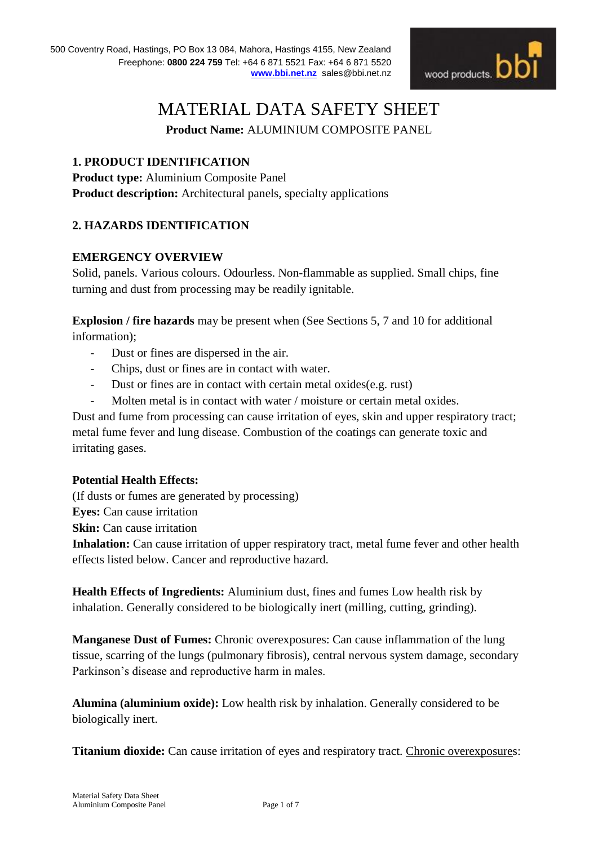

# MATERIAL DATA SAFETY SHEET

**Product Name:** ALUMINIUM COMPOSITE PANEL

## **1. PRODUCT IDENTIFICATION**

**Product type:** Aluminium Composite Panel **Product description:** Architectural panels, specialty applications

## **2. HAZARDS IDENTIFICATION**

## **EMERGENCY OVERVIEW**

Solid, panels. Various colours. Odourless. Non-flammable as supplied. Small chips, fine turning and dust from processing may be readily ignitable.

**Explosion / fire hazards** may be present when (See Sections 5, 7 and 10 for additional information);

- Dust or fines are dispersed in the air.
- Chips, dust or fines are in contact with water.
- Dust or fines are in contact with certain metal oxides(e.g. rust)
- Molten metal is in contact with water / moisture or certain metal oxides.

Dust and fume from processing can cause irritation of eyes, skin and upper respiratory tract; metal fume fever and lung disease. Combustion of the coatings can generate toxic and irritating gases.

#### **Potential Health Effects:**

(If dusts or fumes are generated by processing) **Eyes:** Can cause irritation **Skin:** Can cause irritation **Inhalation:** Can cause irritation of upper respiratory tract, metal fume fever and other health effects listed below. Cancer and reproductive hazard.

**Health Effects of Ingredients:** Aluminium dust, fines and fumes Low health risk by inhalation. Generally considered to be biologically inert (milling, cutting, grinding).

**Manganese Dust of Fumes:** Chronic overexposures: Can cause inflammation of the lung tissue, scarring of the lungs (pulmonary fibrosis), central nervous system damage, secondary Parkinson's disease and reproductive harm in males.

**Alumina (aluminium oxide):** Low health risk by inhalation. Generally considered to be biologically inert.

**Titanium dioxide:** Can cause irritation of eyes and respiratory tract. Chronic overexposures: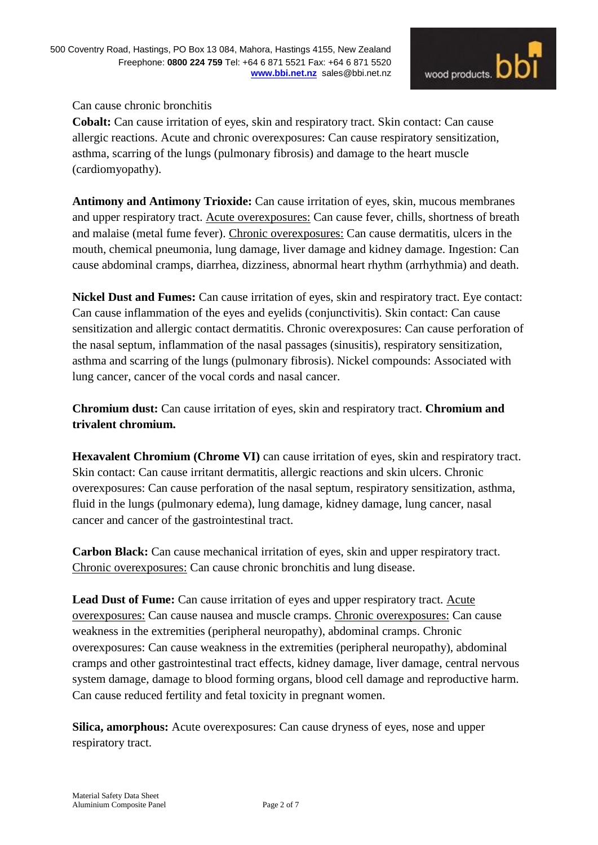## Can cause chronic bronchitis

**Cobalt:** Can cause irritation of eyes, skin and respiratory tract. Skin contact: Can cause allergic reactions. Acute and chronic overexposures: Can cause respiratory sensitization, asthma, scarring of the lungs (pulmonary fibrosis) and damage to the heart muscle (cardiomyopathy).

**Antimony and Antimony Trioxide:** Can cause irritation of eyes, skin, mucous membranes and upper respiratory tract. Acute overexposures: Can cause fever, chills, shortness of breath and malaise (metal fume fever). Chronic overexposures: Can cause dermatitis, ulcers in the mouth, chemical pneumonia, lung damage, liver damage and kidney damage. Ingestion: Can cause abdominal cramps, diarrhea, dizziness, abnormal heart rhythm (arrhythmia) and death.

**Nickel Dust and Fumes:** Can cause irritation of eyes, skin and respiratory tract. Eye contact: Can cause inflammation of the eyes and eyelids (conjunctivitis). Skin contact: Can cause sensitization and allergic contact dermatitis. Chronic overexposures: Can cause perforation of the nasal septum, inflammation of the nasal passages (sinusitis), respiratory sensitization, asthma and scarring of the lungs (pulmonary fibrosis). Nickel compounds: Associated with lung cancer, cancer of the vocal cords and nasal cancer.

**Chromium dust:** Can cause irritation of eyes, skin and respiratory tract. **Chromium and trivalent chromium.**

**Hexavalent Chromium (Chrome VI)** can cause irritation of eyes, skin and respiratory tract. Skin contact: Can cause irritant dermatitis, allergic reactions and skin ulcers. Chronic overexposures: Can cause perforation of the nasal septum, respiratory sensitization, asthma, fluid in the lungs (pulmonary edema), lung damage, kidney damage, lung cancer, nasal cancer and cancer of the gastrointestinal tract.

**Carbon Black:** Can cause mechanical irritation of eyes, skin and upper respiratory tract. Chronic overexposures: Can cause chronic bronchitis and lung disease.

**Lead Dust of Fume:** Can cause irritation of eyes and upper respiratory tract. Acute overexposures: Can cause nausea and muscle cramps. Chronic overexposures: Can cause weakness in the extremities (peripheral neuropathy), abdominal cramps. Chronic overexposures: Can cause weakness in the extremities (peripheral neuropathy), abdominal cramps and other gastrointestinal tract effects, kidney damage, liver damage, central nervous system damage, damage to blood forming organs, blood cell damage and reproductive harm. Can cause reduced fertility and fetal toxicity in pregnant women.

**Silica, amorphous:** Acute overexposures: Can cause dryness of eyes, nose and upper respiratory tract.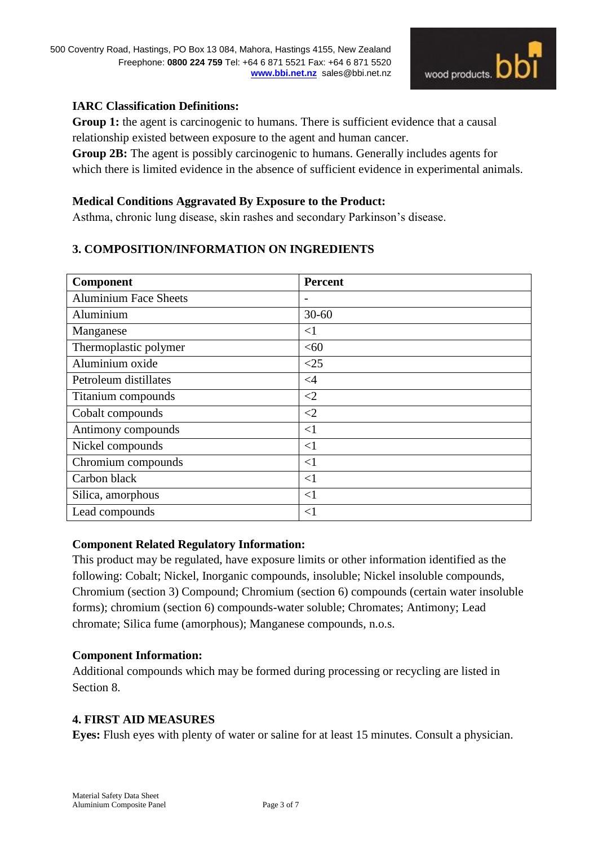

## **IARC Classification Definitions:**

**Group 1:** the agent is carcinogenic to humans. There is sufficient evidence that a causal relationship existed between exposure to the agent and human cancer.

**Group 2B:** The agent is possibly carcinogenic to humans. Generally includes agents for which there is limited evidence in the absence of sufficient evidence in experimental animals.

#### **Medical Conditions Aggravated By Exposure to the Product:**

Asthma, chronic lung disease, skin rashes and secondary Parkinson's disease.

## **3. COMPOSITION/INFORMATION ON INGREDIENTS**

| Component                    | <b>Percent</b> |
|------------------------------|----------------|
| <b>Aluminium Face Sheets</b> | -              |
| Aluminium                    | $30 - 60$      |
| Manganese                    | $\leq$ 1       |
| Thermoplastic polymer        | <60            |
| Aluminium oxide              | <25            |
| Petroleum distillates        | $\leq 4$       |
| Titanium compounds           | $\leq$ 2       |
| Cobalt compounds             | $\leq$ 2       |
| Antimony compounds           | $\leq$ 1       |
| Nickel compounds             | $\leq$ 1       |
| Chromium compounds           | $\leq$ 1       |
| Carbon black                 | $\leq$ 1       |
| Silica, amorphous            | $\leq$ 1       |
| Lead compounds               | $\leq$ 1       |

#### **Component Related Regulatory Information:**

This product may be regulated, have exposure limits or other information identified as the following: Cobalt; Nickel, Inorganic compounds, insoluble; Nickel insoluble compounds, Chromium (section 3) Compound; Chromium (section 6) compounds (certain water insoluble forms); chromium (section 6) compounds-water soluble; Chromates; Antimony; Lead chromate; Silica fume (amorphous); Manganese compounds, n.o.s.

#### **Component Information:**

Additional compounds which may be formed during processing or recycling are listed in Section 8.

#### **4. FIRST AID MEASURES**

**Eyes:** Flush eyes with plenty of water or saline for at least 15 minutes. Consult a physician.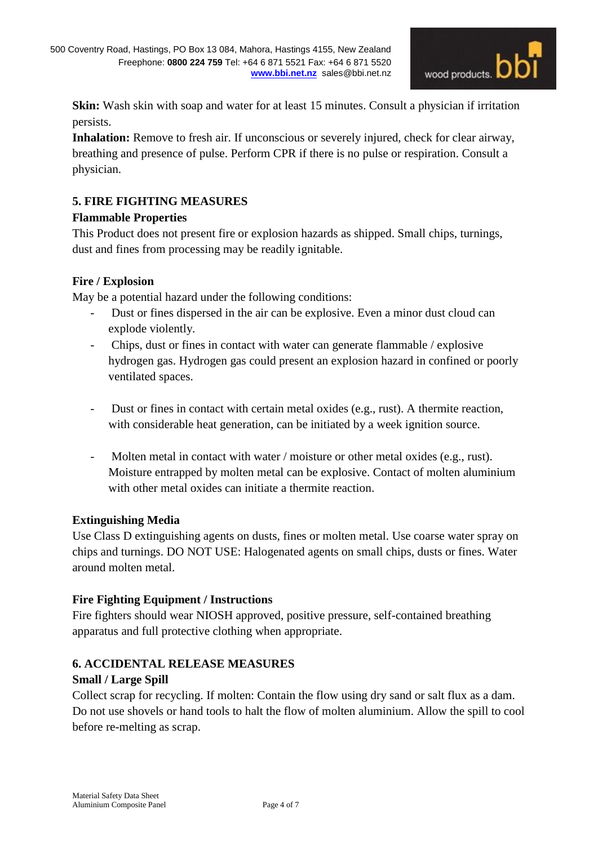

**Skin:** Wash skin with soap and water for at least 15 minutes. Consult a physician if irritation persists.

**Inhalation:** Remove to fresh air. If unconscious or severely injured, check for clear airway, breathing and presence of pulse. Perform CPR if there is no pulse or respiration. Consult a physician.

# **5. FIRE FIGHTING MEASURES**

## **Flammable Properties**

This Product does not present fire or explosion hazards as shipped. Small chips, turnings, dust and fines from processing may be readily ignitable.

## **Fire / Explosion**

May be a potential hazard under the following conditions:

- Dust or fines dispersed in the air can be explosive. Even a minor dust cloud can explode violently.
- Chips, dust or fines in contact with water can generate flammable / explosive hydrogen gas. Hydrogen gas could present an explosion hazard in confined or poorly ventilated spaces.
- Dust or fines in contact with certain metal oxides (e.g., rust). A thermite reaction, with considerable heat generation, can be initiated by a week ignition source.
- Molten metal in contact with water / moisture or other metal oxides (e.g., rust). Moisture entrapped by molten metal can be explosive. Contact of molten aluminium with other metal oxides can initiate a thermite reaction.

# **Extinguishing Media**

Use Class D extinguishing agents on dusts, fines or molten metal. Use coarse water spray on chips and turnings. DO NOT USE: Halogenated agents on small chips, dusts or fines. Water around molten metal.

# **Fire Fighting Equipment / Instructions**

Fire fighters should wear NIOSH approved, positive pressure, self-contained breathing apparatus and full protective clothing when appropriate.

## **6. ACCIDENTAL RELEASE MEASURES**

## **Small / Large Spill**

Collect scrap for recycling. If molten: Contain the flow using dry sand or salt flux as a dam. Do not use shovels or hand tools to halt the flow of molten aluminium. Allow the spill to cool before re-melting as scrap.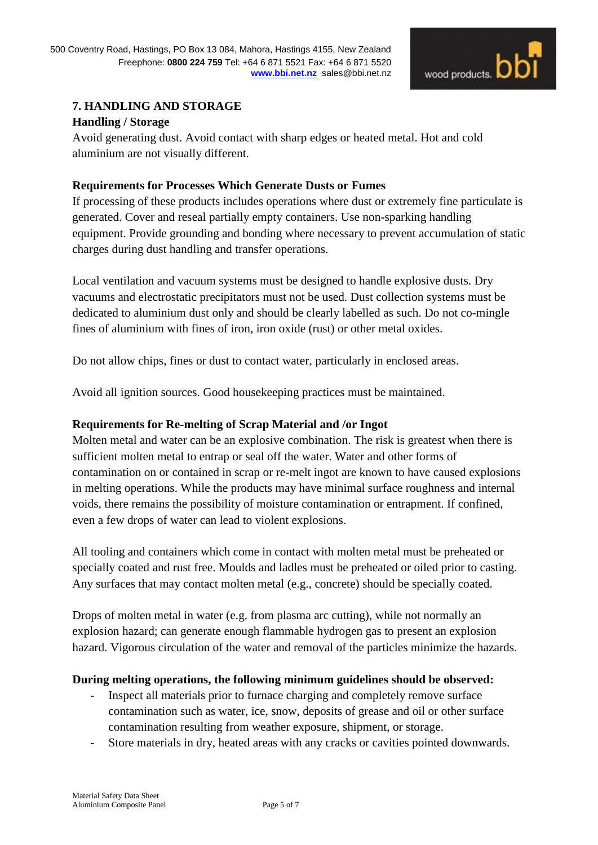

## **7. HANDLING AND STORAGE**

## **Handling / Storage**

Avoid generating dust. Avoid contact with sharp edges or heated metal. Hot and cold aluminium are not visually different.

## **Requirements for Processes Which Generate Dusts or Fumes**

If processing of these products includes operations where dust or extremely fine particulate is generated. Cover and reseal partially empty containers. Use non-sparking handling equipment. Provide grounding and bonding where necessary to prevent accumulation of static charges during dust handling and transfer operations.

Local ventilation and vacuum systems must be designed to handle explosive dusts. Dry vacuums and electrostatic precipitators must not be used. Dust collection systems must be dedicated to aluminium dust only and should be clearly labelled as such. Do not co-mingle fines of aluminium with fines of iron, iron oxide (rust) or other metal oxides.

Do not allow chips, fines or dust to contact water, particularly in enclosed areas.

Avoid all ignition sources. Good housekeeping practices must be maintained.

## **Requirements for Re-melting of Scrap Material and /or Ingot**

Molten metal and water can be an explosive combination. The risk is greatest when there is sufficient molten metal to entrap or seal off the water. Water and other forms of contamination on or contained in scrap or re-melt ingot are known to have caused explosions in melting operations. While the products may have minimal surface roughness and internal voids, there remains the possibility of moisture contamination or entrapment. If confined, even a few drops of water can lead to violent explosions.

All tooling and containers which come in contact with molten metal must be preheated or specially coated and rust free. Moulds and ladles must be preheated or oiled prior to casting. Any surfaces that may contact molten metal (e.g., concrete) should be specially coated.

Drops of molten metal in water (e.g. from plasma arc cutting), while not normally an explosion hazard; can generate enough flammable hydrogen gas to present an explosion hazard. Vigorous circulation of the water and removal of the particles minimize the hazards.

#### **During melting operations, the following minimum guidelines should be observed:**

- Inspect all materials prior to furnace charging and completely remove surface contamination such as water, ice, snow, deposits of grease and oil or other surface contamination resulting from weather exposure, shipment, or storage.
- Store materials in dry, heated areas with any cracks or cavities pointed downwards.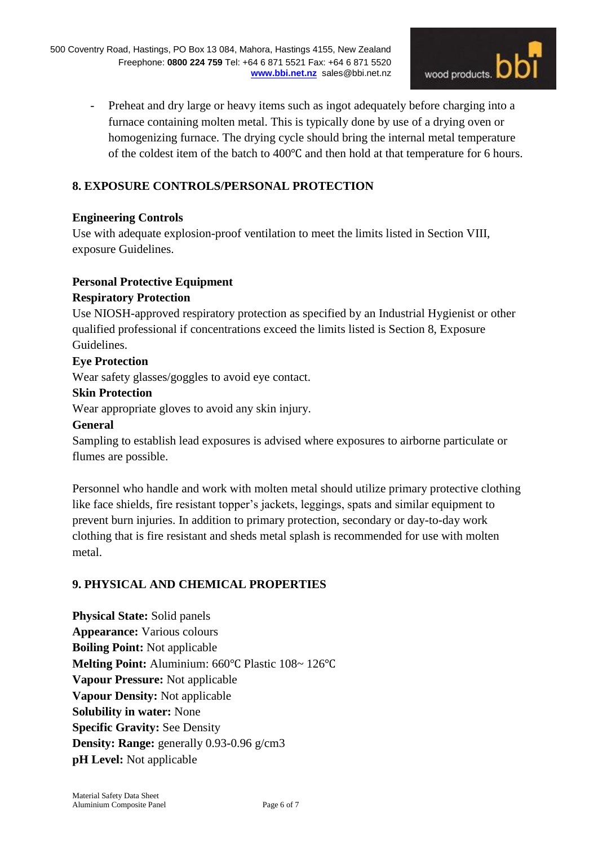

- Preheat and dry large or heavy items such as ingot adequately before charging into a furnace containing molten metal. This is typically done by use of a drying oven or homogenizing furnace. The drying cycle should bring the internal metal temperature of the coldest item of the batch to 400℃ and then hold at that temperature for 6 hours.

## **8. EXPOSURE CONTROLS/PERSONAL PROTECTION**

## **Engineering Controls**

Use with adequate explosion-proof ventilation to meet the limits listed in Section VIII, exposure Guidelines.

## **Personal Protective Equipment**

## **Respiratory Protection**

Use NIOSH-approved respiratory protection as specified by an Industrial Hygienist or other qualified professional if concentrations exceed the limits listed is Section 8, Exposure Guidelines.

## **Eye Protection**

Wear safety glasses/goggles to avoid eye contact.

#### **Skin Protection**

Wear appropriate gloves to avoid any skin injury.

#### **General**

Sampling to establish lead exposures is advised where exposures to airborne particulate or flumes are possible.

Personnel who handle and work with molten metal should utilize primary protective clothing like face shields, fire resistant topper's jackets, leggings, spats and similar equipment to prevent burn injuries. In addition to primary protection, secondary or day-to-day work clothing that is fire resistant and sheds metal splash is recommended for use with molten metal.

## **9. PHYSICAL AND CHEMICAL PROPERTIES**

**Physical State:** Solid panels **Appearance:** Various colours **Boiling Point:** Not applicable **Melting Point:** Aluminium: 660℃ Plastic 108~ 126℃ **Vapour Pressure:** Not applicable **Vapour Density:** Not applicable **Solubility in water:** None **Specific Gravity:** See Density **Density: Range:** generally 0.93-0.96 g/cm3 **pH Level:** Not applicable